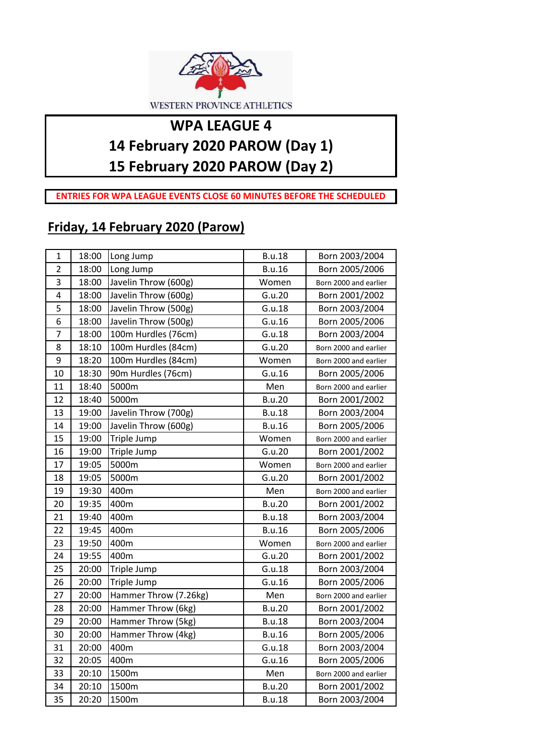

## **WPA LEAGUE 4 14 February 2020 PAROW (Day 1)**

**15 February 2020 PAROW (Day 2)**

**ENTRIES FOR WPA LEAGUE EVENTS CLOSE 60 MINUTES BEFORE THE SCHEDULED** 

## **Friday, 14 February 2020 (Parow)**

| $\mathbf{1}$   | 18:00 | Long Jump             | <b>B.u.18</b> | Born 2003/2004        |
|----------------|-------|-----------------------|---------------|-----------------------|
| $\overline{2}$ | 18:00 | Long Jump             | <b>B.u.16</b> | Born 2005/2006        |
| 3              | 18:00 | Javelin Throw (600g)  | Women         | Born 2000 and earlier |
| 4              | 18:00 | Javelin Throw (600g)  | G.u.20        | Born 2001/2002        |
| 5              | 18:00 | Javelin Throw (500g)  | G.u.18        | Born 2003/2004        |
| 6              | 18:00 | Javelin Throw (500g)  | G.u.16        | Born 2005/2006        |
| 7              | 18:00 | 100m Hurdles (76cm)   | G.u.18        | Born 2003/2004        |
| 8              | 18:10 | 100m Hurdles (84cm)   | G.u.20        | Born 2000 and earlier |
| 9              | 18:20 | 100m Hurdles (84cm)   | Women         | Born 2000 and earlier |
| 10             | 18:30 | 90m Hurdles (76cm)    | G.u.16        | Born 2005/2006        |
| 11             | 18:40 | 5000m                 | Men           | Born 2000 and earlier |
| 12             | 18:40 | 5000m                 | <b>B.u.20</b> | Born 2001/2002        |
| 13             | 19:00 | Javelin Throw (700g)  | <b>B.u.18</b> | Born 2003/2004        |
| 14             | 19:00 | Javelin Throw (600g)  | <b>B.u.16</b> | Born 2005/2006        |
| 15             | 19:00 | Triple Jump           | Women         | Born 2000 and earlier |
| 16             | 19:00 | Triple Jump           | G.u.20        | Born 2001/2002        |
| 17             | 19:05 | 5000m                 | Women         | Born 2000 and earlier |
| 18             | 19:05 | 5000m                 | G.u.20        | Born 2001/2002        |
| 19             | 19:30 | 400m                  | Men           | Born 2000 and earlier |
| 20             | 19:35 | 400m                  | <b>B.u.20</b> | Born 2001/2002        |
| 21             | 19:40 | 400m                  | <b>B.u.18</b> | Born 2003/2004        |
| 22             | 19:45 | 400m                  | <b>B.u.16</b> | Born 2005/2006        |
| 23             | 19:50 | 400m                  | Women         | Born 2000 and earlier |
| 24             | 19:55 | 400m                  | G.u.20        | Born 2001/2002        |
| 25             | 20:00 | Triple Jump           | G.u.18        | Born 2003/2004        |
| 26             | 20:00 | Triple Jump           | G.u.16        | Born 2005/2006        |
| 27             | 20:00 | Hammer Throw (7.26kg) | Men           | Born 2000 and earlier |
| 28             | 20:00 | Hammer Throw (6kg)    | <b>B.u.20</b> | Born 2001/2002        |
| 29             | 20:00 | Hammer Throw (5kg)    | <b>B.u.18</b> | Born 2003/2004        |
| 30             | 20:00 | Hammer Throw (4kg)    | <b>B.u.16</b> | Born 2005/2006        |
| 31             | 20:00 | 400m                  | G.u.18        | Born 2003/2004        |
| 32             | 20:05 | 400m                  | G.u.16        | Born 2005/2006        |
| 33             | 20:10 | 1500m                 | Men           | Born 2000 and earlier |
| 34             | 20:10 | 1500m                 | <b>B.u.20</b> | Born 2001/2002        |
| 35             | 20:20 | 1500m                 | <b>B.u.18</b> | Born 2003/2004        |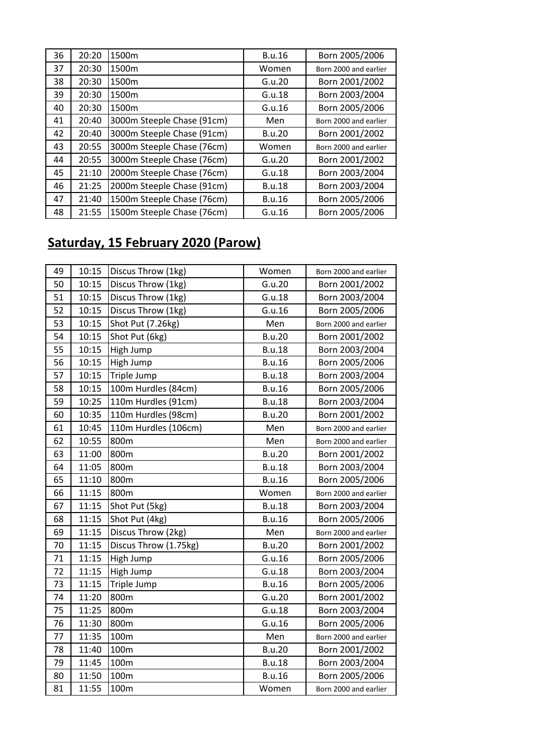| 36 | 20:20 | 1500m                      | B.u.16        | Born 2005/2006        |
|----|-------|----------------------------|---------------|-----------------------|
| 37 | 20:30 | 1500m                      | Women         | Born 2000 and earlier |
| 38 | 20:30 | 1500m                      | G.u.20        | Born 2001/2002        |
| 39 | 20:30 | 1500m                      | G.u.18        | Born 2003/2004        |
| 40 | 20:30 | 1500m                      | G.u.16        | Born 2005/2006        |
| 41 | 20:40 | 3000m Steeple Chase (91cm) | Men           | Born 2000 and earlier |
| 42 | 20:40 | 3000m Steeple Chase (91cm) | B.u.20        | Born 2001/2002        |
| 43 | 20:55 | 3000m Steeple Chase (76cm) | Women         | Born 2000 and earlier |
| 44 | 20:55 | 3000m Steeple Chase (76cm) | G.u.20        | Born 2001/2002        |
| 45 | 21:10 | 2000m Steeple Chase (76cm) | G.u.18        | Born 2003/2004        |
| 46 | 21:25 | 2000m Steeple Chase (91cm) | <b>B.u.18</b> | Born 2003/2004        |
| 47 | 21:40 | 1500m Steeple Chase (76cm) | <b>B.u.16</b> | Born 2005/2006        |
| 48 | 21:55 | 1500m Steeple Chase (76cm) | G.u.16        | Born 2005/2006        |

## **Saturday, 15 February 2020 (Parow)**

| 50<br>10:15<br>Discus Throw (1kg)<br>G.u.20<br>Born 2001/2002<br>51<br>10:15<br>Discus Throw (1kg)<br>G.u.18<br>Born 2003/2004<br>52<br>10:15<br>Discus Throw (1kg)<br>G.u.16<br>Born 2005/2006<br>53<br>10:15<br>Shot Put (7.26kg)<br>Men<br>Born 2000 and earlier<br>54<br>10:15<br>Shot Put (6kg)<br><b>B.u.20</b><br>Born 2001/2002<br>55<br>10:15<br>Born 2003/2004<br>High Jump<br><b>B.u.18</b><br>56<br>10:15<br>Born 2005/2006<br>High Jump<br><b>B.u.16</b><br>57<br>10:15<br>Triple Jump<br><b>B.u.18</b><br>Born 2003/2004<br>58<br>10:15<br>100m Hurdles (84cm)<br><b>B.u.16</b><br>Born 2005/2006<br>59<br>10:25<br>110m Hurdles (91cm)<br><b>B.u.18</b><br>Born 2003/2004<br>60<br>10:35<br>110m Hurdles (98cm)<br><b>B.u.20</b><br>Born 2001/2002<br>10:45<br>110m Hurdles (106cm)<br>61<br>Men<br>Born 2000 and earlier<br>62<br>10:55<br>800m<br>Men<br>Born 2000 and earlier<br>63<br>11:00<br>800m<br><b>B.u.20</b><br>Born 2001/2002<br>64<br>11:05<br>800m<br><b>B.u.18</b><br>Born 2003/2004<br>65<br>11:10<br>800m<br><b>B.u.16</b><br>Born 2005/2006<br>11:15<br>66<br>800m<br>Women<br>Born 2000 and earlier<br>67<br>11:15<br><b>B.u.18</b><br>Shot Put (5kg)<br>Born 2003/2004<br>68<br>11:15<br><b>B.u.16</b><br>Shot Put (4kg)<br>Born 2005/2006<br>11:15<br>Discus Throw (2kg)<br>69<br>Men<br>Born 2000 and earlier<br>11:15<br>Discus Throw (1.75kg)<br>70<br><b>B.u.20</b><br>Born 2001/2002<br>G.u.16<br>71<br>11:15<br>High Jump<br>Born 2005/2006<br>11:15<br>72<br>High Jump<br>G.u.18<br>Born 2003/2004<br>73<br>11:15<br>Triple Jump<br><b>B.u.16</b><br>Born 2005/2006<br>G.u.20<br>Born 2001/2002<br>74<br>11:20<br>800m<br>75<br>11:25<br>800m<br>G.u.18<br>Born 2003/2004<br>76<br>G.u.16<br>11:30<br>800m<br>Born 2005/2006<br>77<br>11:35<br>100m<br>Men<br>Born 2000 and earlier<br>78<br>11:40<br>100m<br>Born 2001/2002<br><b>B.u.20</b><br>11:45<br>100m<br>79<br><b>B.u.18</b><br>Born 2003/2004<br>80<br>11:50<br><b>B.u.16</b><br>Born 2005/2006<br>100m<br>81<br>11:55<br>100m<br>Women<br>Born 2000 and earlier | 49 | 10:15 | Discus Throw (1kg) | Women | Born 2000 and earlier |
|------------------------------------------------------------------------------------------------------------------------------------------------------------------------------------------------------------------------------------------------------------------------------------------------------------------------------------------------------------------------------------------------------------------------------------------------------------------------------------------------------------------------------------------------------------------------------------------------------------------------------------------------------------------------------------------------------------------------------------------------------------------------------------------------------------------------------------------------------------------------------------------------------------------------------------------------------------------------------------------------------------------------------------------------------------------------------------------------------------------------------------------------------------------------------------------------------------------------------------------------------------------------------------------------------------------------------------------------------------------------------------------------------------------------------------------------------------------------------------------------------------------------------------------------------------------------------------------------------------------------------------------------------------------------------------------------------------------------------------------------------------------------------------------------------------------------------------------------------------------------------------------------------------------------------------------------------------------------------------------------------------------------------------------------------------------------|----|-------|--------------------|-------|-----------------------|
|                                                                                                                                                                                                                                                                                                                                                                                                                                                                                                                                                                                                                                                                                                                                                                                                                                                                                                                                                                                                                                                                                                                                                                                                                                                                                                                                                                                                                                                                                                                                                                                                                                                                                                                                                                                                                                                                                                                                                                                                                                                                        |    |       |                    |       |                       |
|                                                                                                                                                                                                                                                                                                                                                                                                                                                                                                                                                                                                                                                                                                                                                                                                                                                                                                                                                                                                                                                                                                                                                                                                                                                                                                                                                                                                                                                                                                                                                                                                                                                                                                                                                                                                                                                                                                                                                                                                                                                                        |    |       |                    |       |                       |
|                                                                                                                                                                                                                                                                                                                                                                                                                                                                                                                                                                                                                                                                                                                                                                                                                                                                                                                                                                                                                                                                                                                                                                                                                                                                                                                                                                                                                                                                                                                                                                                                                                                                                                                                                                                                                                                                                                                                                                                                                                                                        |    |       |                    |       |                       |
|                                                                                                                                                                                                                                                                                                                                                                                                                                                                                                                                                                                                                                                                                                                                                                                                                                                                                                                                                                                                                                                                                                                                                                                                                                                                                                                                                                                                                                                                                                                                                                                                                                                                                                                                                                                                                                                                                                                                                                                                                                                                        |    |       |                    |       |                       |
|                                                                                                                                                                                                                                                                                                                                                                                                                                                                                                                                                                                                                                                                                                                                                                                                                                                                                                                                                                                                                                                                                                                                                                                                                                                                                                                                                                                                                                                                                                                                                                                                                                                                                                                                                                                                                                                                                                                                                                                                                                                                        |    |       |                    |       |                       |
|                                                                                                                                                                                                                                                                                                                                                                                                                                                                                                                                                                                                                                                                                                                                                                                                                                                                                                                                                                                                                                                                                                                                                                                                                                                                                                                                                                                                                                                                                                                                                                                                                                                                                                                                                                                                                                                                                                                                                                                                                                                                        |    |       |                    |       |                       |
|                                                                                                                                                                                                                                                                                                                                                                                                                                                                                                                                                                                                                                                                                                                                                                                                                                                                                                                                                                                                                                                                                                                                                                                                                                                                                                                                                                                                                                                                                                                                                                                                                                                                                                                                                                                                                                                                                                                                                                                                                                                                        |    |       |                    |       |                       |
|                                                                                                                                                                                                                                                                                                                                                                                                                                                                                                                                                                                                                                                                                                                                                                                                                                                                                                                                                                                                                                                                                                                                                                                                                                                                                                                                                                                                                                                                                                                                                                                                                                                                                                                                                                                                                                                                                                                                                                                                                                                                        |    |       |                    |       |                       |
|                                                                                                                                                                                                                                                                                                                                                                                                                                                                                                                                                                                                                                                                                                                                                                                                                                                                                                                                                                                                                                                                                                                                                                                                                                                                                                                                                                                                                                                                                                                                                                                                                                                                                                                                                                                                                                                                                                                                                                                                                                                                        |    |       |                    |       |                       |
|                                                                                                                                                                                                                                                                                                                                                                                                                                                                                                                                                                                                                                                                                                                                                                                                                                                                                                                                                                                                                                                                                                                                                                                                                                                                                                                                                                                                                                                                                                                                                                                                                                                                                                                                                                                                                                                                                                                                                                                                                                                                        |    |       |                    |       |                       |
|                                                                                                                                                                                                                                                                                                                                                                                                                                                                                                                                                                                                                                                                                                                                                                                                                                                                                                                                                                                                                                                                                                                                                                                                                                                                                                                                                                                                                                                                                                                                                                                                                                                                                                                                                                                                                                                                                                                                                                                                                                                                        |    |       |                    |       |                       |
|                                                                                                                                                                                                                                                                                                                                                                                                                                                                                                                                                                                                                                                                                                                                                                                                                                                                                                                                                                                                                                                                                                                                                                                                                                                                                                                                                                                                                                                                                                                                                                                                                                                                                                                                                                                                                                                                                                                                                                                                                                                                        |    |       |                    |       |                       |
|                                                                                                                                                                                                                                                                                                                                                                                                                                                                                                                                                                                                                                                                                                                                                                                                                                                                                                                                                                                                                                                                                                                                                                                                                                                                                                                                                                                                                                                                                                                                                                                                                                                                                                                                                                                                                                                                                                                                                                                                                                                                        |    |       |                    |       |                       |
|                                                                                                                                                                                                                                                                                                                                                                                                                                                                                                                                                                                                                                                                                                                                                                                                                                                                                                                                                                                                                                                                                                                                                                                                                                                                                                                                                                                                                                                                                                                                                                                                                                                                                                                                                                                                                                                                                                                                                                                                                                                                        |    |       |                    |       |                       |
|                                                                                                                                                                                                                                                                                                                                                                                                                                                                                                                                                                                                                                                                                                                                                                                                                                                                                                                                                                                                                                                                                                                                                                                                                                                                                                                                                                                                                                                                                                                                                                                                                                                                                                                                                                                                                                                                                                                                                                                                                                                                        |    |       |                    |       |                       |
|                                                                                                                                                                                                                                                                                                                                                                                                                                                                                                                                                                                                                                                                                                                                                                                                                                                                                                                                                                                                                                                                                                                                                                                                                                                                                                                                                                                                                                                                                                                                                                                                                                                                                                                                                                                                                                                                                                                                                                                                                                                                        |    |       |                    |       |                       |
|                                                                                                                                                                                                                                                                                                                                                                                                                                                                                                                                                                                                                                                                                                                                                                                                                                                                                                                                                                                                                                                                                                                                                                                                                                                                                                                                                                                                                                                                                                                                                                                                                                                                                                                                                                                                                                                                                                                                                                                                                                                                        |    |       |                    |       |                       |
|                                                                                                                                                                                                                                                                                                                                                                                                                                                                                                                                                                                                                                                                                                                                                                                                                                                                                                                                                                                                                                                                                                                                                                                                                                                                                                                                                                                                                                                                                                                                                                                                                                                                                                                                                                                                                                                                                                                                                                                                                                                                        |    |       |                    |       |                       |
|                                                                                                                                                                                                                                                                                                                                                                                                                                                                                                                                                                                                                                                                                                                                                                                                                                                                                                                                                                                                                                                                                                                                                                                                                                                                                                                                                                                                                                                                                                                                                                                                                                                                                                                                                                                                                                                                                                                                                                                                                                                                        |    |       |                    |       |                       |
|                                                                                                                                                                                                                                                                                                                                                                                                                                                                                                                                                                                                                                                                                                                                                                                                                                                                                                                                                                                                                                                                                                                                                                                                                                                                                                                                                                                                                                                                                                                                                                                                                                                                                                                                                                                                                                                                                                                                                                                                                                                                        |    |       |                    |       |                       |
|                                                                                                                                                                                                                                                                                                                                                                                                                                                                                                                                                                                                                                                                                                                                                                                                                                                                                                                                                                                                                                                                                                                                                                                                                                                                                                                                                                                                                                                                                                                                                                                                                                                                                                                                                                                                                                                                                                                                                                                                                                                                        |    |       |                    |       |                       |
|                                                                                                                                                                                                                                                                                                                                                                                                                                                                                                                                                                                                                                                                                                                                                                                                                                                                                                                                                                                                                                                                                                                                                                                                                                                                                                                                                                                                                                                                                                                                                                                                                                                                                                                                                                                                                                                                                                                                                                                                                                                                        |    |       |                    |       |                       |
|                                                                                                                                                                                                                                                                                                                                                                                                                                                                                                                                                                                                                                                                                                                                                                                                                                                                                                                                                                                                                                                                                                                                                                                                                                                                                                                                                                                                                                                                                                                                                                                                                                                                                                                                                                                                                                                                                                                                                                                                                                                                        |    |       |                    |       |                       |
|                                                                                                                                                                                                                                                                                                                                                                                                                                                                                                                                                                                                                                                                                                                                                                                                                                                                                                                                                                                                                                                                                                                                                                                                                                                                                                                                                                                                                                                                                                                                                                                                                                                                                                                                                                                                                                                                                                                                                                                                                                                                        |    |       |                    |       |                       |
|                                                                                                                                                                                                                                                                                                                                                                                                                                                                                                                                                                                                                                                                                                                                                                                                                                                                                                                                                                                                                                                                                                                                                                                                                                                                                                                                                                                                                                                                                                                                                                                                                                                                                                                                                                                                                                                                                                                                                                                                                                                                        |    |       |                    |       |                       |
|                                                                                                                                                                                                                                                                                                                                                                                                                                                                                                                                                                                                                                                                                                                                                                                                                                                                                                                                                                                                                                                                                                                                                                                                                                                                                                                                                                                                                                                                                                                                                                                                                                                                                                                                                                                                                                                                                                                                                                                                                                                                        |    |       |                    |       |                       |
|                                                                                                                                                                                                                                                                                                                                                                                                                                                                                                                                                                                                                                                                                                                                                                                                                                                                                                                                                                                                                                                                                                                                                                                                                                                                                                                                                                                                                                                                                                                                                                                                                                                                                                                                                                                                                                                                                                                                                                                                                                                                        |    |       |                    |       |                       |
|                                                                                                                                                                                                                                                                                                                                                                                                                                                                                                                                                                                                                                                                                                                                                                                                                                                                                                                                                                                                                                                                                                                                                                                                                                                                                                                                                                                                                                                                                                                                                                                                                                                                                                                                                                                                                                                                                                                                                                                                                                                                        |    |       |                    |       |                       |
|                                                                                                                                                                                                                                                                                                                                                                                                                                                                                                                                                                                                                                                                                                                                                                                                                                                                                                                                                                                                                                                                                                                                                                                                                                                                                                                                                                                                                                                                                                                                                                                                                                                                                                                                                                                                                                                                                                                                                                                                                                                                        |    |       |                    |       |                       |
|                                                                                                                                                                                                                                                                                                                                                                                                                                                                                                                                                                                                                                                                                                                                                                                                                                                                                                                                                                                                                                                                                                                                                                                                                                                                                                                                                                                                                                                                                                                                                                                                                                                                                                                                                                                                                                                                                                                                                                                                                                                                        |    |       |                    |       |                       |
|                                                                                                                                                                                                                                                                                                                                                                                                                                                                                                                                                                                                                                                                                                                                                                                                                                                                                                                                                                                                                                                                                                                                                                                                                                                                                                                                                                                                                                                                                                                                                                                                                                                                                                                                                                                                                                                                                                                                                                                                                                                                        |    |       |                    |       |                       |
|                                                                                                                                                                                                                                                                                                                                                                                                                                                                                                                                                                                                                                                                                                                                                                                                                                                                                                                                                                                                                                                                                                                                                                                                                                                                                                                                                                                                                                                                                                                                                                                                                                                                                                                                                                                                                                                                                                                                                                                                                                                                        |    |       |                    |       |                       |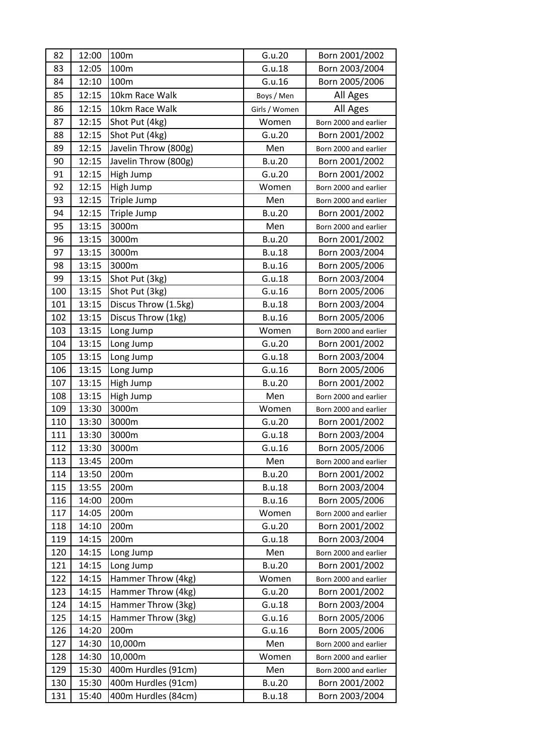| 82  | 12:00 | 100m                 | G.u.20        | Born 2001/2002        |
|-----|-------|----------------------|---------------|-----------------------|
| 83  | 12:05 | 100m                 | G.u.18        | Born 2003/2004        |
| 84  | 12:10 | 100m                 | G.u.16        | Born 2005/2006        |
| 85  | 12:15 | 10km Race Walk       | Boys / Men    | All Ages              |
| 86  | 12:15 | 10km Race Walk       | Girls / Women | All Ages              |
| 87  | 12:15 | Shot Put (4kg)       | Women         | Born 2000 and earlier |
| 88  | 12:15 | Shot Put (4kg)       | G.u.20        | Born 2001/2002        |
| 89  | 12:15 | Javelin Throw (800g) | Men           | Born 2000 and earlier |
| 90  | 12:15 | Javelin Throw (800g) | <b>B.u.20</b> | Born 2001/2002        |
| 91  | 12:15 | High Jump            | G.u.20        | Born 2001/2002        |
| 92  | 12:15 | High Jump            | Women         | Born 2000 and earlier |
| 93  | 12:15 | Triple Jump          | Men           | Born 2000 and earlier |
| 94  | 12:15 | Triple Jump          | <b>B.u.20</b> | Born 2001/2002        |
| 95  | 13:15 | 3000m                | Men           | Born 2000 and earlier |
| 96  | 13:15 | 3000m                | <b>B.u.20</b> | Born 2001/2002        |
| 97  | 13:15 | 3000m                | <b>B.u.18</b> | Born 2003/2004        |
| 98  | 13:15 | 3000m                | <b>B.u.16</b> | Born 2005/2006        |
| 99  | 13:15 | Shot Put (3kg)       | G.u.18        | Born 2003/2004        |
| 100 | 13:15 | Shot Put (3kg)       | G.u.16        | Born 2005/2006        |
| 101 | 13:15 | Discus Throw (1.5kg) | <b>B.u.18</b> | Born 2003/2004        |
| 102 | 13:15 | Discus Throw (1kg)   | <b>B.u.16</b> | Born 2005/2006        |
| 103 | 13:15 | Long Jump            | Women         | Born 2000 and earlier |
| 104 | 13:15 | Long Jump            | G.u.20        | Born 2001/2002        |
| 105 | 13:15 | Long Jump            | G.u.18        | Born 2003/2004        |
| 106 | 13:15 | Long Jump            | G.u.16        | Born 2005/2006        |
| 107 | 13:15 | High Jump            | <b>B.u.20</b> | Born 2001/2002        |
| 108 | 13:15 | High Jump            | Men           | Born 2000 and earlier |
| 109 | 13:30 | 3000m                | Women         | Born 2000 and earlier |
| 110 | 13:30 | 3000m                | G.u.20        | Born 2001/2002        |
| 111 | 13:30 | 3000m                | G.u.18        | Born 2003/2004        |
| 112 | 13:30 | 3000m                | G.u.16        | Born 2005/2006        |
| 113 | 13:45 | 200m                 | Men           | Born 2000 and earlier |
| 114 | 13:50 | 200m                 | <b>B.u.20</b> | Born 2001/2002        |
| 115 | 13:55 | 200m                 | <b>B.u.18</b> | Born 2003/2004        |
| 116 | 14:00 | 200m                 | <b>B.u.16</b> | Born 2005/2006        |
| 117 | 14:05 | 200m                 | Women         | Born 2000 and earlier |
| 118 | 14:10 | 200m                 | G.u.20        | Born 2001/2002        |
| 119 | 14:15 | 200m                 | G.u.18        | Born 2003/2004        |
| 120 | 14:15 | Long Jump            | Men           | Born 2000 and earlier |
| 121 | 14:15 | Long Jump            | <b>B.u.20</b> | Born 2001/2002        |
| 122 | 14:15 | Hammer Throw (4kg)   | Women         | Born 2000 and earlier |
| 123 | 14:15 | Hammer Throw (4kg)   | G.u.20        | Born 2001/2002        |
| 124 | 14:15 | Hammer Throw (3kg)   | G.u.18        | Born 2003/2004        |
| 125 | 14:15 | Hammer Throw (3kg)   | G.u.16        | Born 2005/2006        |
| 126 | 14:20 | 200m                 | G.u.16        | Born 2005/2006        |
| 127 | 14:30 | 10,000m              | Men           | Born 2000 and earlier |
| 128 | 14:30 | 10,000m              | Women         | Born 2000 and earlier |
| 129 | 15:30 | 400m Hurdles (91cm)  | Men           | Born 2000 and earlier |
| 130 | 15:30 | 400m Hurdles (91cm)  | <b>B.u.20</b> | Born 2001/2002        |
| 131 | 15:40 | 400m Hurdles (84cm)  | <b>B.u.18</b> | Born 2003/2004        |